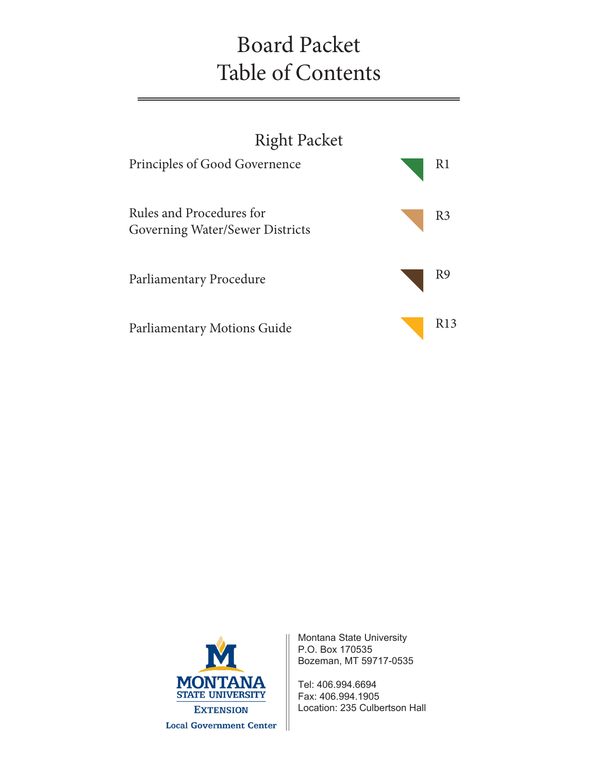# Board Packet Table of Contents





Montana State University P.O. Box 170535 Bozeman, MT 59717-0535

Tel: 406.994.6694 Fax: 406.994.1905 Location: 235 Culbertson Hall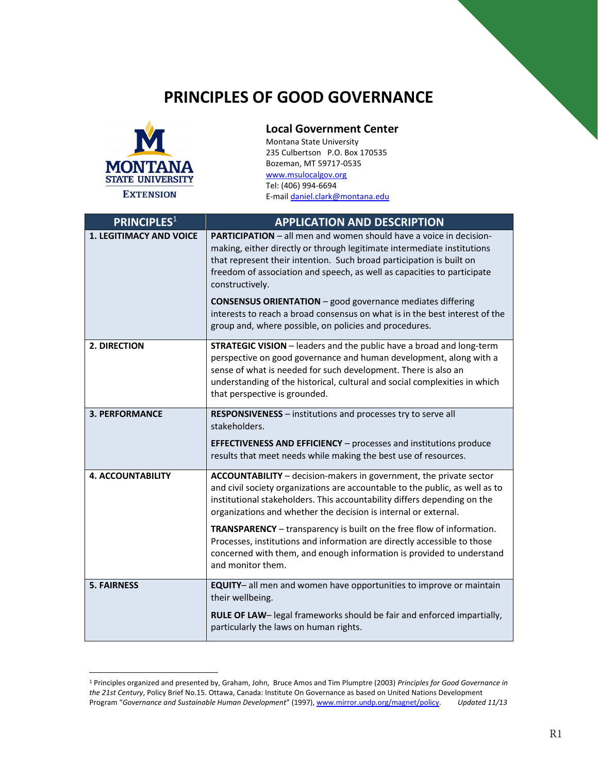# **PRINCIPLES OF GOOD GOVERNANCE**



 $\overline{a}$ 

### **Local Government Center**

Montana State University 235 Culbertson P.O. Box 170535 Bozeman, MT 59717-0535 www.msulocalgov.org Tel: (406) 994-6694 E-mail daniel.clark@montana.edu

| <b>PRINCIPLES1</b>             | <b>APPLICATION AND DESCRIPTION</b>                                                                                                                                                                                                                                                                                                                                                                                                                                                                                                       |
|--------------------------------|------------------------------------------------------------------------------------------------------------------------------------------------------------------------------------------------------------------------------------------------------------------------------------------------------------------------------------------------------------------------------------------------------------------------------------------------------------------------------------------------------------------------------------------|
| <b>1. LEGITIMACY AND VOICE</b> | <b>PARTICIPATION</b> – all men and women should have a voice in decision-<br>making, either directly or through legitimate intermediate institutions<br>that represent their intention. Such broad participation is built on<br>freedom of association and speech, as well as capacities to participate<br>constructively.<br><b>CONSENSUS ORIENTATION</b> – good governance mediates differing<br>interests to reach a broad consensus on what is in the best interest of the<br>group and, where possible, on policies and procedures. |
| <b>2. DIRECTION</b>            | <b>STRATEGIC VISION</b> - leaders and the public have a broad and long-term<br>perspective on good governance and human development, along with a<br>sense of what is needed for such development. There is also an<br>understanding of the historical, cultural and social complexities in which<br>that perspective is grounded.                                                                                                                                                                                                       |
| <b>3. PERFORMANCE</b>          | RESPONSIVENESS - institutions and processes try to serve all<br>stakeholders.<br><b>EFFECTIVENESS AND EFFICIENCY</b> - processes and institutions produce<br>results that meet needs while making the best use of resources.                                                                                                                                                                                                                                                                                                             |
| <b>4. ACCOUNTABILITY</b>       | ACCOUNTABILITY - decision-makers in government, the private sector<br>and civil society organizations are accountable to the public, as well as to<br>institutional stakeholders. This accountability differs depending on the<br>organizations and whether the decision is internal or external.                                                                                                                                                                                                                                        |
|                                | <b>TRANSPARENCY</b> - transparency is built on the free flow of information.<br>Processes, institutions and information are directly accessible to those<br>concerned with them, and enough information is provided to understand<br>and monitor them.                                                                                                                                                                                                                                                                                   |
| <b>5. FAIRNESS</b>             | EQUITY- all men and women have opportunities to improve or maintain<br>their wellbeing.                                                                                                                                                                                                                                                                                                                                                                                                                                                  |
|                                | RULE OF LAW- legal frameworks should be fair and enforced impartially,<br>particularly the laws on human rights.                                                                                                                                                                                                                                                                                                                                                                                                                         |

<sup>1</sup> Principles organized and presented by, Graham, John, Bruce Amos and Tim Plumptre (2003) *Principles for Good Governance in the 21st Century*, Policy Brief No.15. Ottawa, Canada: Institute On Governance as based on United Nations Development<br>Program "Governance and Sustainable Human Development" (1997), www.mirror.undp.org/magnet/policy. Updat Program "Governance and Sustainable Human Development" (1997), www.mirror.undp.org/magnet/policy.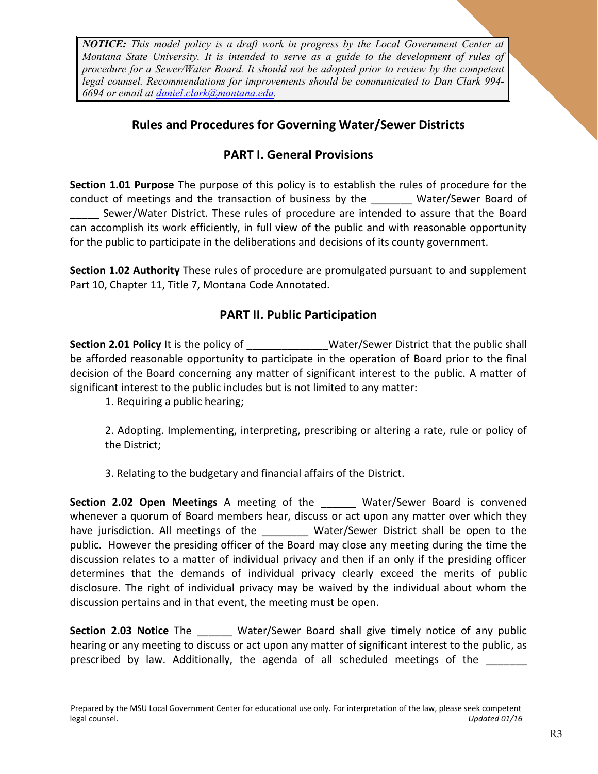*NOTICE: This model policy is a draft work in progress by the Local Government Center at Montana State University. It is intended to serve as a guide to the development of rules of procedure for a Sewer/Water Board. It should not be adopted prior to review by the competent legal counsel. Recommendations for improvements should be communicated to Dan Clark 994- 6694 or email at daniel.clark@montana.edu.*

### **Rules and Procedures for Governing Water/Sewer Districts**

### **PART I. General Provisions**

**Section 1.01 Purpose** The purpose of this policy is to establish the rules of procedure for the conduct of meetings and the transaction of business by the Water/Sewer Board of Sewer/Water District. These rules of procedure are intended to assure that the Board can accomplish its work efficiently, in full view of the public and with reasonable opportunity for the public to participate in the deliberations and decisions of its county government.

**Section 1.02 Authority** These rules of procedure are promulgated pursuant to and supplement Part 10, Chapter 11, Title 7, Montana Code Annotated.

### **PART II. Public Participation**

**Section 2.01 Policy** It is the policy of **Water/Sewer District that the public shall** be afforded reasonable opportunity to participate in the operation of Board prior to the final decision of the Board concerning any matter of significant interest to the public. A matter of significant interest to the public includes but is not limited to any matter:

1. Requiring a public hearing;

2. Adopting. Implementing, interpreting, prescribing or altering a rate, rule or policy of the District;

3. Relating to the budgetary and financial affairs of the District.

**Section 2.02 Open Meetings** A meeting of the \_\_\_\_\_\_ Water/Sewer Board is convened whenever a quorum of Board members hear, discuss or act upon any matter over which they have jurisdiction. All meetings of the \_\_\_\_\_\_\_\_ Water/Sewer District shall be open to the public. However the presiding officer of the Board may close any meeting during the time the discussion relates to a matter of individual privacy and then if an only if the presiding officer determines that the demands of individual privacy clearly exceed the merits of public disclosure. The right of individual privacy may be waived by the individual about whom the discussion pertains and in that event, the meeting must be open.

**Section 2.03 Notice** The **Water/Sewer Board shall give timely notice of any public** hearing or any meeting to discuss or act upon any matter of significant interest to the public, as prescribed by law. Additionally, the agenda of all scheduled meetings of the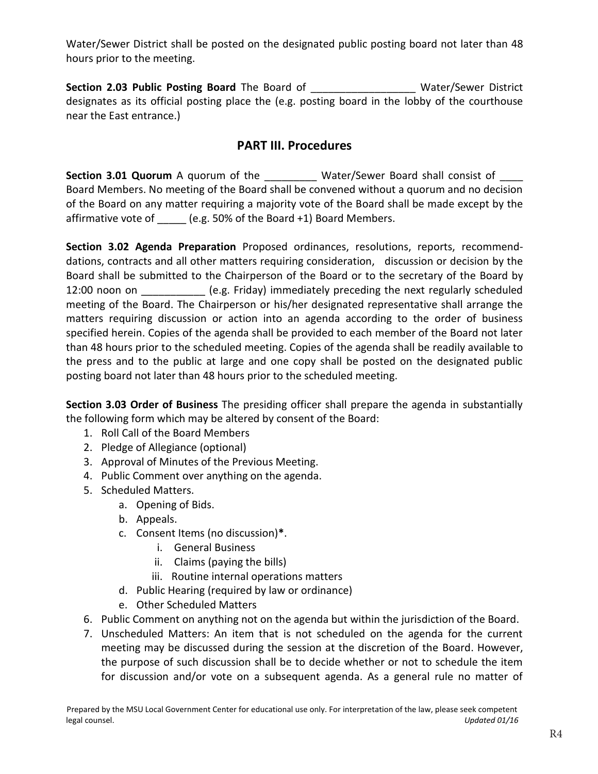Water/Sewer District shall be posted on the designated public posting board not later than 48 hours prior to the meeting.

**Section 2.03 Public Posting Board** The Board of **Example 2.03 Public Posting Board** The Board of designates as its official posting place the (e.g. posting board in the lobby of the courthouse near the East entrance.)

### **PART III. Procedures**

**Section 3.01 Quorum** A quorum of the **Water/Sewer Board shall consist of** Board Members. No meeting of the Board shall be convened without a quorum and no decision of the Board on any matter requiring a majority vote of the Board shall be made except by the affirmative vote of (e.g. 50% of the Board +1) Board Members.

**Section 3.02 Agenda Preparation** Proposed ordinances, resolutions, reports, recommenddations, contracts and all other matters requiring consideration, discussion or decision by the Board shall be submitted to the Chairperson of the Board or to the secretary of the Board by 12:00 noon on **Example 12:00** noon on  $(1, 2)$  (e.g. Friday) immediately preceding the next regularly scheduled meeting of the Board. The Chairperson or his/her designated representative shall arrange the matters requiring discussion or action into an agenda according to the order of business specified herein. Copies of the agenda shall be provided to each member of the Board not later than 48 hours prior to the scheduled meeting. Copies of the agenda shall be readily available to the press and to the public at large and one copy shall be posted on the designated public posting board not later than 48 hours prior to the scheduled meeting.

**Section 3.03 Order of Business** The presiding officer shall prepare the agenda in substantially the following form which may be altered by consent of the Board:

- 1. Roll Call of the Board Members
- 2. Pledge of Allegiance (optional)
- 3. Approval of Minutes of the Previous Meeting.
- 4. Public Comment over anything on the agenda.
- 5. Scheduled Matters.
	- a. Opening of Bids.
	- b. Appeals.
	- c. Consent Items (no discussion)**\***.
		- i. General Business
		- ii. Claims (paying the bills)
		- iii. Routine internal operations matters
	- d. Public Hearing (required by law or ordinance)
	- e. Other Scheduled Matters
- 6. Public Comment on anything not on the agenda but within the jurisdiction of the Board.
- 7. Unscheduled Matters: An item that is not scheduled on the agenda for the current meeting may be discussed during the session at the discretion of the Board. However, the purpose of such discussion shall be to decide whether or not to schedule the item for discussion and/or vote on a subsequent agenda. As a general rule no matter of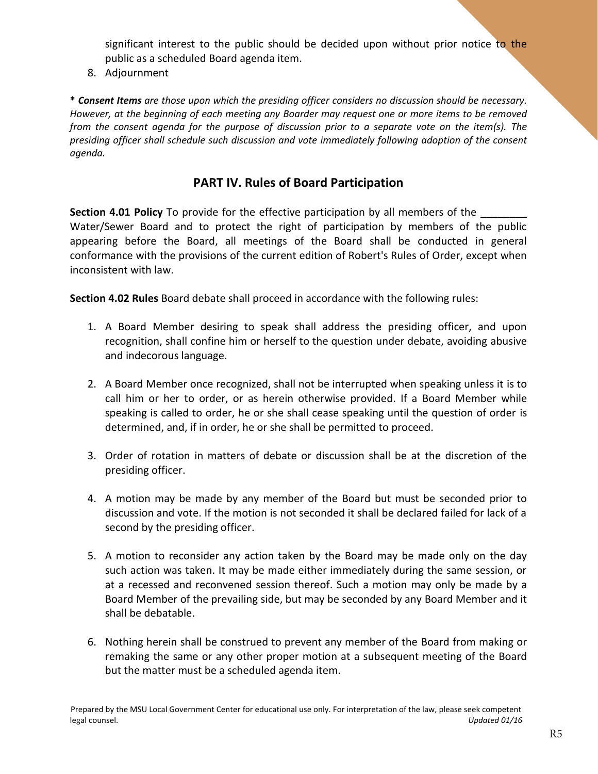significant interest to the public should be decided upon without prior notice to the public as a scheduled Board agenda item.

8. Adjournment

**\*** *Consent Items are those upon which the presiding officer considers no discussion should be necessary. However, at the beginning of each meeting any Boarder may request one or more items to be removed from the consent agenda for the purpose of discussion prior to a separate vote on the item(s). The presiding officer shall schedule such discussion and vote immediately following adoption of the consent agenda.* 

### **PART IV. Rules of Board Participation**

**Section 4.01 Policy** To provide for the effective participation by all members of the Water/Sewer Board and to protect the right of participation by members of the public appearing before the Board, all meetings of the Board shall be conducted in general conformance with the provisions of the current edition of Robert's Rules of Order, except when inconsistent with law.

**Section 4.02 Rules** Board debate shall proceed in accordance with the following rules:

- 1. A Board Member desiring to speak shall address the presiding officer, and upon recognition, shall confine him or herself to the question under debate, avoiding abusive and indecorous language.
- 2. A Board Member once recognized, shall not be interrupted when speaking unless it is to call him or her to order, or as herein otherwise provided. If a Board Member while speaking is called to order, he or she shall cease speaking until the question of order is determined, and, if in order, he or she shall be permitted to proceed.
- 3. Order of rotation in matters of debate or discussion shall be at the discretion of the presiding officer.
- 4. A motion may be made by any member of the Board but must be seconded prior to discussion and vote. If the motion is not seconded it shall be declared failed for lack of a second by the presiding officer.
- 5. A motion to reconsider any action taken by the Board may be made only on the day such action was taken. It may be made either immediately during the same session, or at a recessed and reconvened session thereof. Such a motion may only be made by a Board Member of the prevailing side, but may be seconded by any Board Member and it shall be debatable.
- 6. Nothing herein shall be construed to prevent any member of the Board from making or remaking the same or any other proper motion at a subsequent meeting of the Board but the matter must be a scheduled agenda item.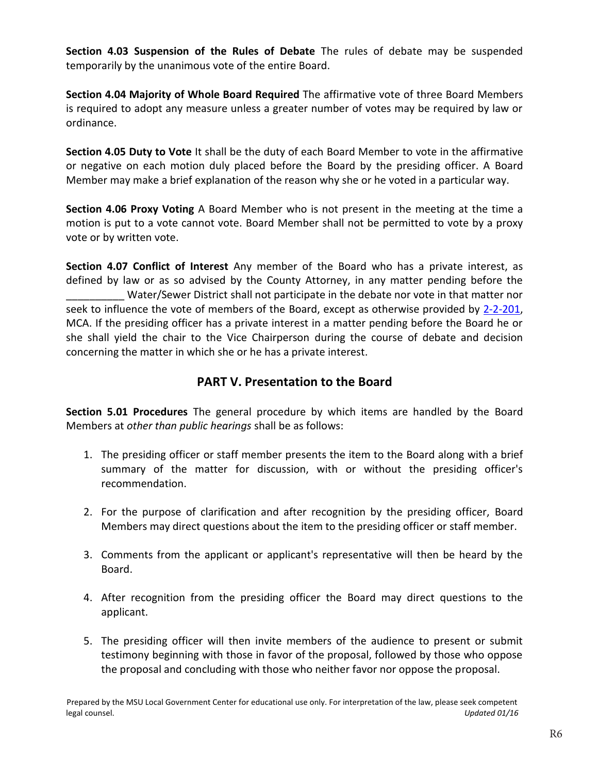**Section 4.03 Suspension of the Rules of Debate** The rules of debate may be suspended temporarily by the unanimous vote of the entire Board.

**Section 4.04 Majority of Whole Board Required** The affirmative vote of three Board Members is required to adopt any measure unless a greater number of votes may be required by law or ordinance.

**Section 4.05 Duty to Vote** It shall be the duty of each Board Member to vote in the affirmative or negative on each motion duly placed before the Board by the presiding officer. A Board Member may make a brief explanation of the reason why she or he voted in a particular way.

**Section 4.06 Proxy Voting** A Board Member who is not present in the meeting at the time a motion is put to a vote cannot vote. Board Member shall not be permitted to vote by a proxy vote or by written vote.

**Section 4.07 Conflict of Interest** Any member of the Board who has a private interest, as defined by law or as so advised by the County Attorney, in any matter pending before the Water/Sewer District shall not participate in the debate nor vote in that matter nor seek to influence the vote of members of the Board, except as otherwise provided by 2-2-201, MCA. If the presiding officer has a private interest in a matter pending before the Board he or she shall yield the chair to the Vice Chairperson during the course of debate and decision concerning the matter in which she or he has a private interest.

### **PART V. Presentation to the Board**

**Section 5.01 Procedures** The general procedure by which items are handled by the Board Members at *other than public hearings* shall be as follows:

- 1. The presiding officer or staff member presents the item to the Board along with a brief summary of the matter for discussion, with or without the presiding officer's recommendation.
- 2. For the purpose of clarification and after recognition by the presiding officer, Board Members may direct questions about the item to the presiding officer or staff member.
- 3. Comments from the applicant or applicant's representative will then be heard by the Board.
- 4. After recognition from the presiding officer the Board may direct questions to the applicant.
- 5. The presiding officer will then invite members of the audience to present or submit testimony beginning with those in favor of the proposal, followed by those who oppose the proposal and concluding with those who neither favor nor oppose the proposal.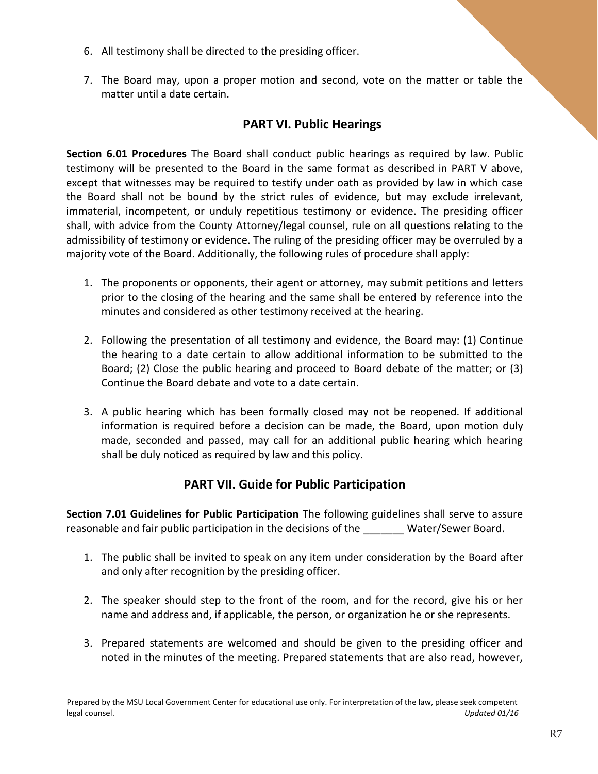- 6. All testimony shall be directed to the presiding officer.
- 7. The Board may, upon a proper motion and second, vote on the matter or table the matter until a date certain.

### **PART VI. Public Hearings**

**Section 6.01 Procedures** The Board shall conduct public hearings as required by law. Public testimony will be presented to the Board in the same format as described in PART V above, except that witnesses may be required to testify under oath as provided by law in which case the Board shall not be bound by the strict rules of evidence, but may exclude irrelevant, immaterial, incompetent, or unduly repetitious testimony or evidence. The presiding officer shall, with advice from the County Attorney/legal counsel, rule on all questions relating to the admissibility of testimony or evidence. The ruling of the presiding officer may be overruled by a majority vote of the Board. Additionally, the following rules of procedure shall apply:

- 1. The proponents or opponents, their agent or attorney, may submit petitions and letters prior to the closing of the hearing and the same shall be entered by reference into the minutes and considered as other testimony received at the hearing.
- 2. Following the presentation of all testimony and evidence, the Board may: (1) Continue the hearing to a date certain to allow additional information to be submitted to the Board; (2) Close the public hearing and proceed to Board debate of the matter; or (3) Continue the Board debate and vote to a date certain.
- 3. A public hearing which has been formally closed may not be reopened. If additional information is required before a decision can be made, the Board, upon motion duly made, seconded and passed, may call for an additional public hearing which hearing shall be duly noticed as required by law and this policy.

### **PART VII. Guide for Public Participation**

**Section 7.01 Guidelines for Public Participation** The following guidelines shall serve to assure reasonable and fair public participation in the decisions of the Water/Sewer Board.

- 1. The public shall be invited to speak on any item under consideration by the Board after and only after recognition by the presiding officer.
- 2. The speaker should step to the front of the room, and for the record, give his or her name and address and, if applicable, the person, or organization he or she represents.
- 3. Prepared statements are welcomed and should be given to the presiding officer and noted in the minutes of the meeting. Prepared statements that are also read, however,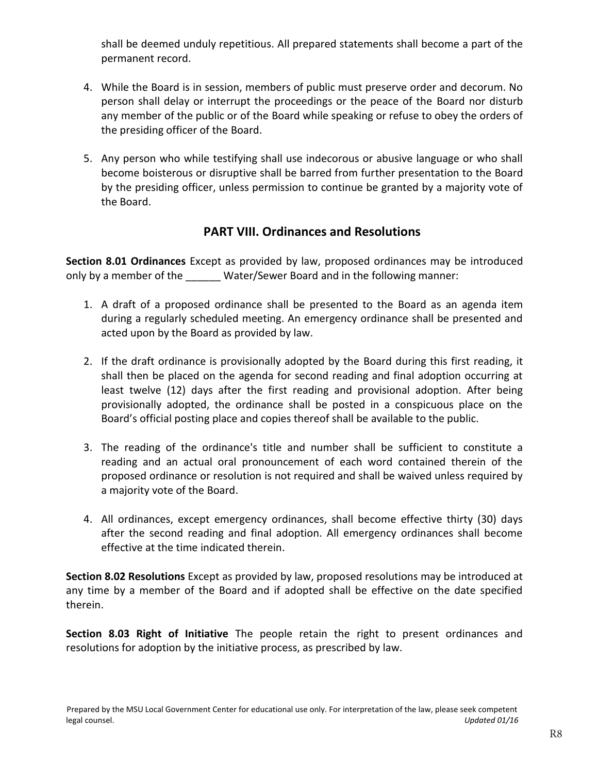shall be deemed unduly repetitious. All prepared statements shall become a part of the permanent record.

- 4. While the Board is in session, members of public must preserve order and decorum. No person shall delay or interrupt the proceedings or the peace of the Board nor disturb any member of the public or of the Board while speaking or refuse to obey the orders of the presiding officer of the Board.
- 5. Any person who while testifying shall use indecorous or abusive language or who shall become boisterous or disruptive shall be barred from further presentation to the Board by the presiding officer, unless permission to continue be granted by a majority vote of the Board.

### **PART VIII. Ordinances and Resolutions**

**Section 8.01 Ordinances** Except as provided by law, proposed ordinances may be introduced only by a member of the **Water/Sewer Board and in the following manner:** 

- 1. A draft of a proposed ordinance shall be presented to the Board as an agenda item during a regularly scheduled meeting. An emergency ordinance shall be presented and acted upon by the Board as provided by law.
- 2. If the draft ordinance is provisionally adopted by the Board during this first reading, it shall then be placed on the agenda for second reading and final adoption occurring at least twelve (12) days after the first reading and provisional adoption. After being provisionally adopted, the ordinance shall be posted in a conspicuous place on the Board's official posting place and copies thereof shall be available to the public.
- 3. The reading of the ordinance's title and number shall be sufficient to constitute a reading and an actual oral pronouncement of each word contained therein of the proposed ordinance or resolution is not required and shall be waived unless required by a majority vote of the Board.
- 4. All ordinances, except emergency ordinances, shall become effective thirty (30) days after the second reading and final adoption. All emergency ordinances shall become effective at the time indicated therein.

**Section 8.02 Resolutions** Except as provided by law, proposed resolutions may be introduced at any time by a member of the Board and if adopted shall be effective on the date specified therein.

**Section 8.03 Right of Initiative** The people retain the right to present ordinances and resolutions for adoption by the initiative process, as prescribed by law.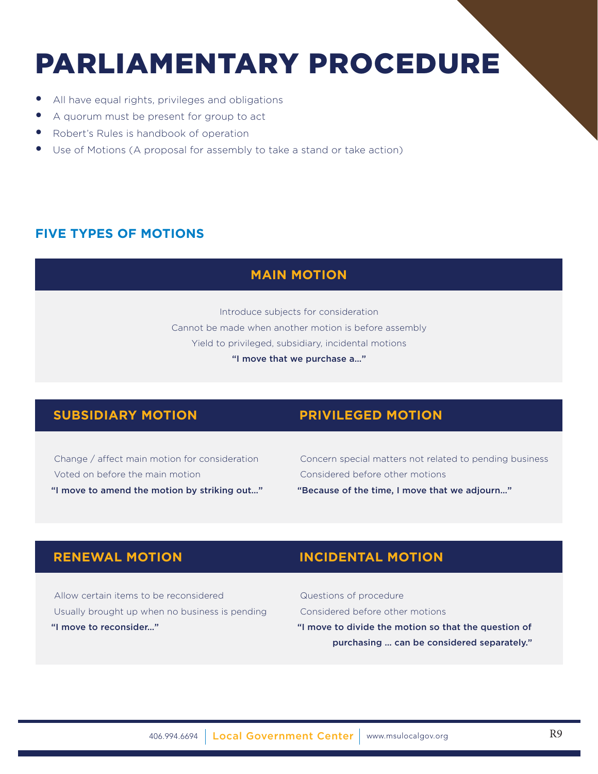# PARLIAMENTARY PROCEDURE

- All have equal rights, privileges and obligations
- A quorum must be present for group to act
- Robert's Rules is handbook of operation
- Use of Motions (A proposal for assembly to take a stand or take action)

### **FIVE TYPES OF MOTIONS**

### **MAIN MOTION**

Introduce subjects for consideration Cannot be made when another motion is before assembly Yield to privileged, subsidiary, incidental motions "I move that we purchase a…"

### **SUBSIDIARY MOTION PRIVILEGED MOTION**

 Change / affect main motion for consideration Voted on before the main motion "I move to amend the motion by striking out…"

 Concern special matters not related to pending business Considered before other motions "Because of the time, I move that we adjourn…"

 Allow certain items to be reconsidered Usually brought up when no business is pending "I move to reconsider…"

## **RENEWAL MOTION INCIDENTAL MOTION**

 Questions of procedure Considered before other motions "I move to divide the motion so that the question of purchasing … can be considered separately."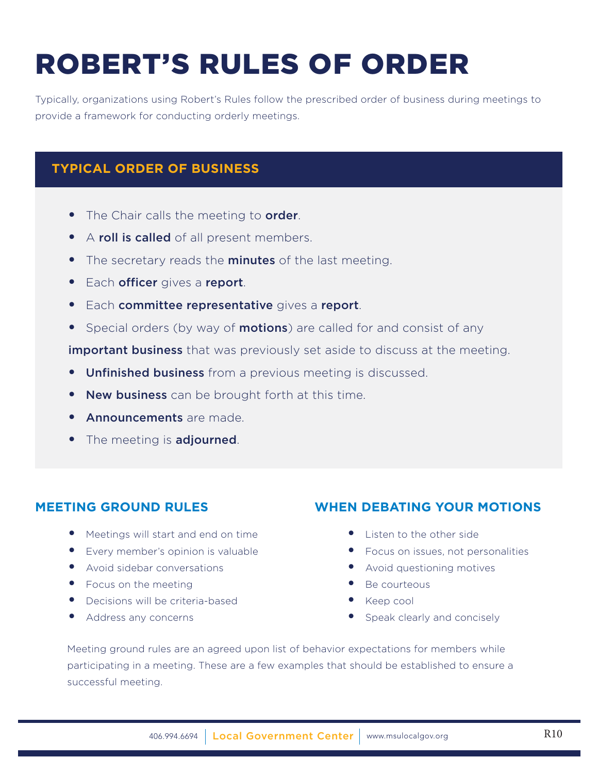# ROBERT'S RULES OF ORDER

Typically, organizations using Robert's Rules follow the prescribed order of business during meetings to provide a framework for conducting orderly meetings.

### **TYPICAL ORDER OF BUSINESS**

- The Chair calls the meeting to order.
- A roll is called of all present members.
- The secretary reads the **minutes** of the last meeting.
- **•** Each officer gives a report.
- **•** Each committee representative gives a report.
- Special orders (by way of **motions**) are called for and consist of any

**important business** that was previously set aside to discuss at the meeting.

- **Unfinished business** from a previous meeting is discussed.
- New business can be brought forth at this time.
- **Announcements** are made
- The meeting is **adjourned**.

### **MEETING GROUND RULES**

- Meetings will start and end on time
- Every member's opinion is valuable
- Avoid sidebar conversations
- Focus on the meeting
- Decisions will be criteria-based
- Address any concerns

### **WHEN DEBATING YOUR MOTIONS**

- Listen to the other side
- Focus on issues, not personalities
- Avoid questioning motives
- Be courteous
- Keep cool
- Speak clearly and concisely

Meeting ground rules are an agreed upon list of behavior expectations for members while participating in a meeting. These are a few examples that should be established to ensure a successful meeting.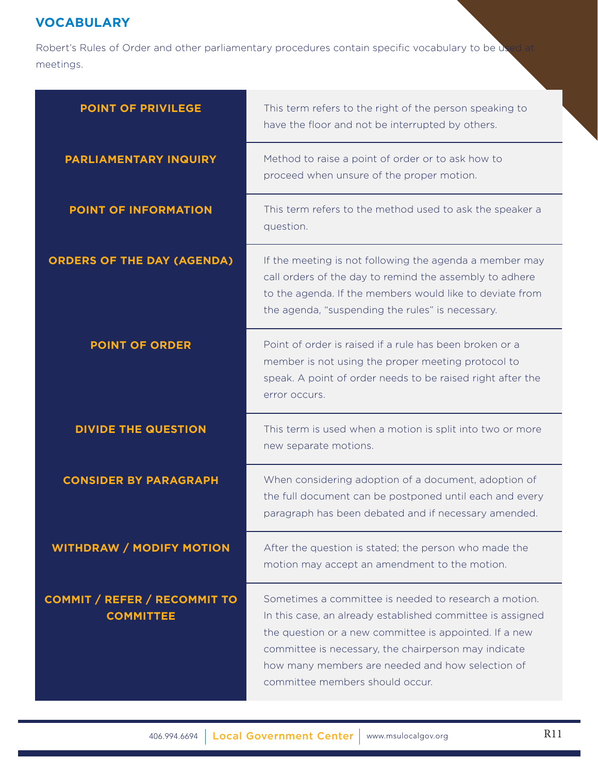### **VOCABULARY**

Robert's Rules of Order and other parliamentary procedures contain specific vocabulary to be used at meetings.

| <b>POINT OF PRIVILEGE</b>                               | This term refers to the right of the person speaking to                                                                                                                                                                                                                                                                      |
|---------------------------------------------------------|------------------------------------------------------------------------------------------------------------------------------------------------------------------------------------------------------------------------------------------------------------------------------------------------------------------------------|
|                                                         | have the floor and not be interrupted by others.                                                                                                                                                                                                                                                                             |
| <b>PARLIAMENTARY INQUIRY</b>                            | Method to raise a point of order or to ask how to<br>proceed when unsure of the proper motion.                                                                                                                                                                                                                               |
| POINT OF INFORMATION                                    | This term refers to the method used to ask the speaker a<br>question.                                                                                                                                                                                                                                                        |
| <b>ORDERS OF THE DAY (AGENDA)</b>                       | If the meeting is not following the agenda a member may<br>call orders of the day to remind the assembly to adhere<br>to the agenda. If the members would like to deviate from<br>the agenda, "suspending the rules" is necessary.                                                                                           |
| <b>POINT OF ORDER</b>                                   | Point of order is raised if a rule has been broken or a<br>member is not using the proper meeting protocol to<br>speak. A point of order needs to be raised right after the<br>error occurs.                                                                                                                                 |
| <b>DIVIDE THE QUESTION</b>                              | This term is used when a motion is split into two or more<br>new separate motions.                                                                                                                                                                                                                                           |
| <b>CONSIDER BY PARAGRAPH</b>                            | When considering adoption of a document, adoption of<br>the full document can be postponed until each and every<br>paragraph has been debated and if necessary amended.                                                                                                                                                      |
| <b>WITHDRAW / MODIFY MOTION</b>                         | After the question is stated; the person who made the<br>motion may accept an amendment to the motion.                                                                                                                                                                                                                       |
| <b>COMMIT / REFER / RECOMMIT TO</b><br><b>COMMITTEE</b> | Sometimes a committee is needed to research a motion.<br>In this case, an already established committee is assigned<br>the question or a new committee is appointed. If a new<br>committee is necessary, the chairperson may indicate<br>how many members are needed and how selection of<br>committee members should occur. |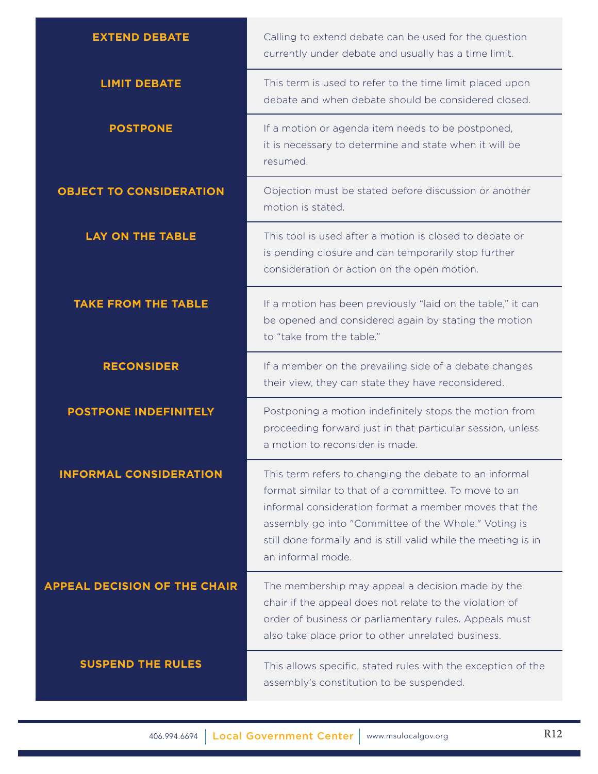| <b>EXTEND DEBATE</b>                | Calling to extend debate can be used for the question<br>currently under debate and usually has a time limit.                                                                                                                                                                                                          |
|-------------------------------------|------------------------------------------------------------------------------------------------------------------------------------------------------------------------------------------------------------------------------------------------------------------------------------------------------------------------|
| <b>LIMIT DEBATE</b>                 | This term is used to refer to the time limit placed upon<br>debate and when debate should be considered closed.                                                                                                                                                                                                        |
| <b>POSTPONE</b>                     | If a motion or agenda item needs to be postponed,<br>it is necessary to determine and state when it will be<br>resumed.                                                                                                                                                                                                |
| <b>OBJECT TO CONSIDERATION</b>      | Objection must be stated before discussion or another<br>motion is stated.                                                                                                                                                                                                                                             |
| <b>LAY ON THE TABLE</b>             | This tool is used after a motion is closed to debate or<br>is pending closure and can temporarily stop further<br>consideration or action on the open motion.                                                                                                                                                          |
| <b>TAKE FROM THE TABLE</b>          | If a motion has been previously "laid on the table," it can<br>be opened and considered again by stating the motion<br>to "take from the table."                                                                                                                                                                       |
| <b>RECONSIDER</b>                   | If a member on the prevailing side of a debate changes<br>their view, they can state they have reconsidered.                                                                                                                                                                                                           |
| <b>POSTPONE INDEFINITELY</b>        | Postponing a motion indefinitely stops the motion from<br>proceeding forward just in that particular session, unless<br>a motion to reconsider is made.                                                                                                                                                                |
| <b>INFORMAL CONSIDERATION</b>       | This term refers to changing the debate to an informal<br>format similar to that of a committee. To move to an<br>informal consideration format a member moves that the<br>assembly go into "Committee of the Whole." Voting is<br>still done formally and is still valid while the meeting is in<br>an informal mode. |
| <b>APPEAL DECISION OF THE CHAIR</b> | The membership may appeal a decision made by the<br>chair if the appeal does not relate to the violation of<br>order of business or parliamentary rules. Appeals must<br>also take place prior to other unrelated business.                                                                                            |
| <b>SUSPEND THE RULES</b>            | This allows specific, stated rules with the exception of the<br>assembly's constitution to be suspended.                                                                                                                                                                                                               |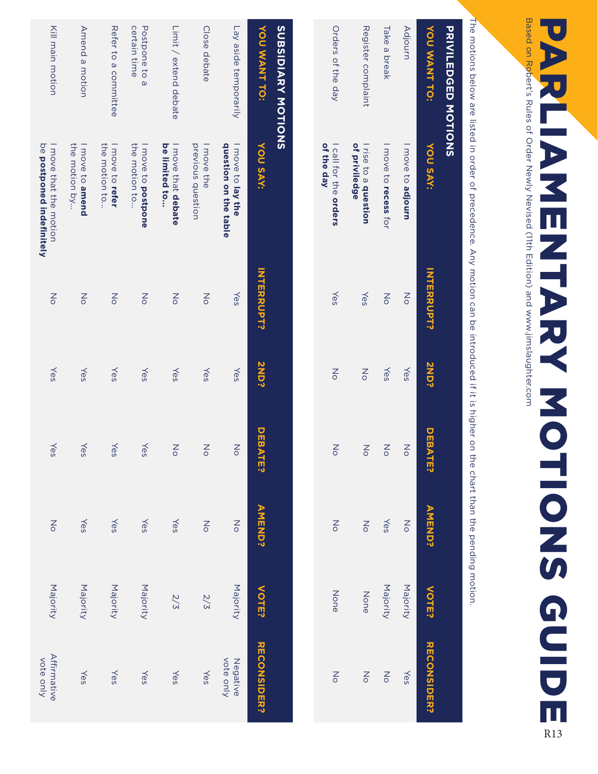# **PARLIANENTARY NOTIOES GUIDE** PARLIAMENTARY MOTIONS GUIDE

Based on Robert's Rules of Order Mexiled (71th Edition) and www.jimslaughter.com Based on Robert's Rules of Order Newly Nevised (11th Edition) and www.jimslaughter.com

The motions below are listed in order of precedence. Any motion can be introduced if it is higher on the chart than the pending motion The motions below are listed in order of precedence. Any motion can be introduced if it is higher on the chart than the pending motion.

| <b>PRIVILEDGED NOTIONS</b> |                                       |                   |                      |                        |                   |              |                   |
|----------------------------|---------------------------------------|-------------------|----------------------|------------------------|-------------------|--------------|-------------------|
| YOU WANT TO:               | <b>YOU SAY:</b>                       | <b>INTERRUPT?</b> | <b>2ND?</b>          | <b>DEBAT</b><br>п<br>v | <b>AMEND?</b>     | <b>VOTE?</b> | - RECONSIDER?     |
| Adjourn                    | I move to adjourn                     | $\frac{2}{\circ}$ | Yes                  | $\frac{8}{10}$         | $\frac{2}{\circ}$ | Majority     | Yes               |
| Take a break               | I move to recess for                  | $\frac{2}{\circ}$ | Yes                  | $\frac{8}{10}$         | Yes               | Majority     | $\frac{2}{\circ}$ |
| Register complaint         | of priviledge<br>I rise to a question | Yes               | $\frac{1}{\sqrt{2}}$ | $\frac{8}{10}$         | 증                 | None         | Z<br>o            |
| Orders of the day          | of the day<br>I call for the orders   | Yes               | $\frac{8}{10}$       | $\frac{2}{3}$          | $\frac{2}{\circ}$ | None         | $\frac{2}{\circ}$ |
|                            |                                       |                   |                      |                        |                   |              |                   |

| YOU WANT TO:<br><b>SUBSIDIARY MOTIONS</b> | <b>YOU SAY:</b>                                            | <b>INTERRUPT?</b>    | <b>2ND?</b> | <b>DEBA</b><br>司     | <b>AMEND?</b>        | <b>VOTE?</b> | <b>RECONSIDER?</b>       |  |
|-------------------------------------------|------------------------------------------------------------|----------------------|-------------|----------------------|----------------------|--------------|--------------------------|--|
| Lay aside temporarily                     | question on the table<br>I move to lay the                 | Yes                  | Yes         | $\frac{1}{\sqrt{2}}$ | $\frac{1}{\sqrt{2}}$ | Majority     | vote only<br>Negative    |  |
| Close debate                              | previous question<br>I move the                            | $\frac{2}{\circ}$    | Yes         | $\frac{2}{\circ}$    | $\frac{1}{\sqrt{2}}$ | 2/3          | Yes                      |  |
| Limit / extend debate                     | be limited to<br>I move that debate                        | $\frac{2}{\circ}$    | Yes         | $\frac{2}{\circ}$    | Yes                  | 2/5          | Yes                      |  |
| certain time<br>Postpone to a             | the motion to<br>I move to postpone                        | $\frac{1}{\sqrt{2}}$ | Yes         | Yes                  | Yes                  | Majority     | Yes                      |  |
| Refer to a committee                      | the motion to<br>I move to refer                           | $\frac{1}{\sqrt{2}}$ | Yes         | Yes                  | Yes                  | Majority     | Yes                      |  |
| Amend a motion                            | the motion by<br>Imove to amend                            | $\frac{1}{\sqrt{2}}$ | Yes         | Yes                  | Yes                  | Majority     | Yes                      |  |
| Kill main motion                          | be <b>postponed indefinitely</b><br>I HOVe that the Hotion | $\frac{1}{\sqrt{2}}$ | Yes         | Yes                  | $\frac{1}{\sqrt{2}}$ | Majority     | Affirmative<br>vote only |  |